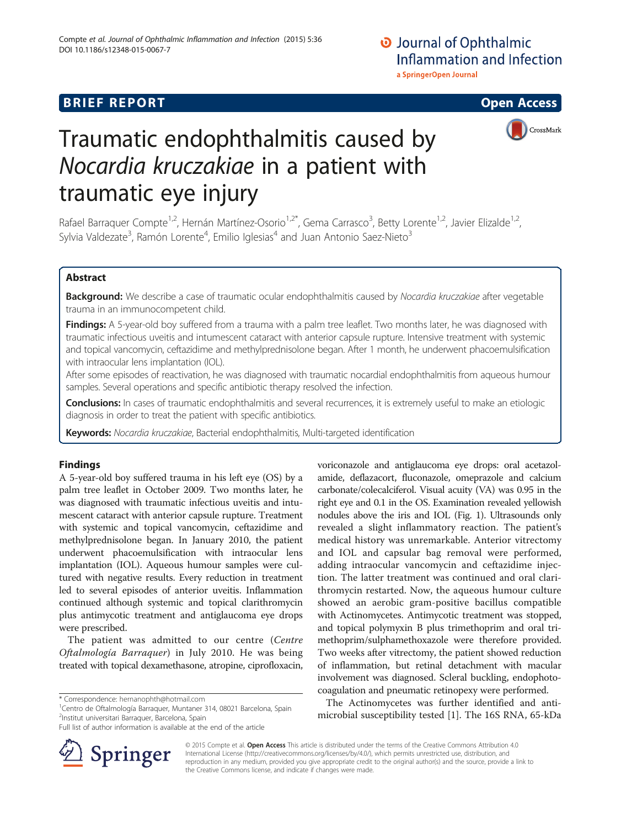## **BRIEF REPORT CONSTRUCTION CONSTRUCTION CONSTRUCTS**





# Traumatic endophthalmitis caused by Nocardia kruczakiae in a patient with traumatic eye injury

Rafael Barraquer Compte<sup>1,2</sup>, Hernán Martínez-Osorio<sup>1,2\*</sup>, Gema Carrasco<sup>3</sup>, Betty Lorente<sup>1,2</sup>, Javier Elizalde<sup>1,2</sup>, Sylvia Valdezate<sup>3</sup>, Ramón Lorente<sup>4</sup>, Emilio Iglesias<sup>4</sup> and Juan Antonio Saez-Nieto<sup>3</sup>

## Abstract

Background: We describe a case of traumatic ocular endophthalmitis caused by Nocardia kruczakiae after vegetable trauma in an immunocompetent child.

**Findings:** A 5-year-old boy suffered from a trauma with a palm tree leaflet. Two months later, he was diagnosed with traumatic infectious uveitis and intumescent cataract with anterior capsule rupture. Intensive treatment with systemic and topical vancomycin, ceftazidime and methylprednisolone began. After 1 month, he underwent phacoemulsification with intraocular lens implantation (IOL).

After some episodes of reactivation, he was diagnosed with traumatic nocardial endophthalmitis from aqueous humour samples. Several operations and specific antibiotic therapy resolved the infection.

Conclusions: In cases of traumatic endophthalmitis and several recurrences, it is extremely useful to make an etiologic diagnosis in order to treat the patient with specific antibiotics.

Keywords: Nocardia kruczakiae, Bacterial endophthalmitis, Multi-targeted identification

## Findings

A 5-year-old boy suffered trauma in his left eye (OS) by a palm tree leaflet in October 2009. Two months later, he was diagnosed with traumatic infectious uveitis and intumescent cataract with anterior capsule rupture. Treatment with systemic and topical vancomycin, ceftazidime and methylprednisolone began. In January 2010, the patient underwent phacoemulsification with intraocular lens implantation (IOL). Aqueous humour samples were cultured with negative results. Every reduction in treatment led to several episodes of anterior uveitis. Inflammation continued although systemic and topical clarithromycin plus antimycotic treatment and antiglaucoma eye drops were prescribed.

The patient was admitted to our centre (Centre Oftalmología Barraquer) in July 2010. He was being treated with topical dexamethasone, atropine, ciprofloxacin,

<sup>1</sup> Centro de Oftalmología Barraquer, Muntaner 314, 08021 Barcelona, Spain 2 Institut universitari Barraquer, Barcelona, Spain



voriconazole and antiglaucoma eye drops: oral acetazolamide, deflazacort, fluconazole, omeprazole and calcium

The Actinomycetes was further identified and antimicrobial susceptibility tested [[1](#page-2-0)]. The 16S RNA, 65-kDa



© 2015 Compte et al. Open Access This article is distributed under the terms of the Creative Commons Attribution 4.0 International License ([http://creativecommons.org/licenses/by/4.0/\)](http://creativecommons.org/licenses/by/4.0/), which permits unrestricted use, distribution, and reproduction in any medium, provided you give appropriate credit to the original author(s) and the source, provide a link to the Creative Commons license, and indicate if changes were made.

<sup>\*</sup> Correspondence: [hernanophth@hotmail.com](mailto:hernanophth@hotmail.com) <sup>1</sup>

Full list of author information is available at the end of the article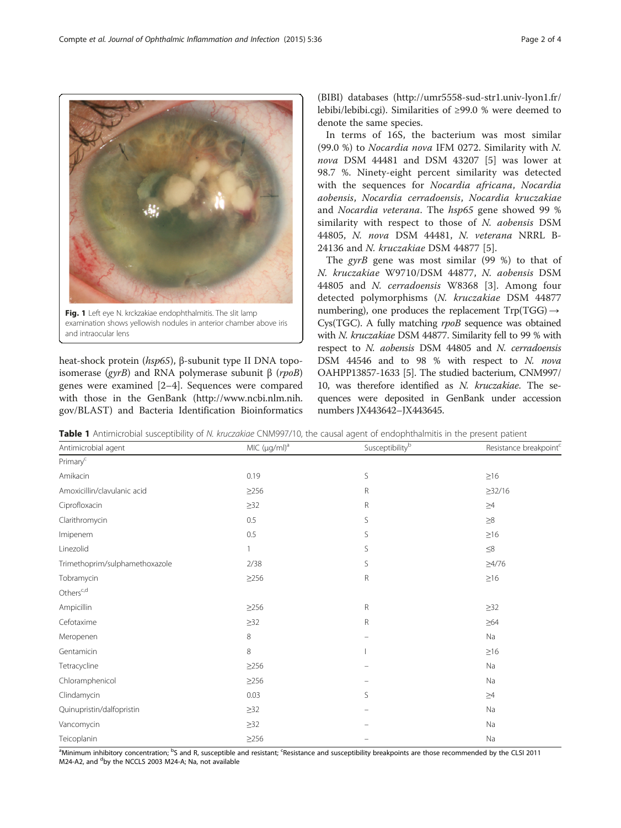heat-shock protein (hsp65), β-subunit type II DNA topoisomerase (gyrB) and RNA polymerase subunit β (rpoB) genes were examined [\[2](#page-2-0)–[4\]](#page-2-0). Sequences were compared with those in the GenBank [\(http://www.ncbi.nlm.nih.](http://www.ncbi.nlm.nih.gov/BLAST) [gov/BLAST\)](http://www.ncbi.nlm.nih.gov/BLAST) and Bacteria Identification Bioinformatics

and intraocular lens

Primaryc

Others<sup>c,d</sup>

(BIBI) databases [\(http://umr5558-sud-str1.univ-lyon1.fr/](http://umr5558-sud-str1.univ-lyon1.fr/lebibi/lebibi.cgi) [lebibi/lebibi.cgi\)](http://umr5558-sud-str1.univ-lyon1.fr/lebibi/lebibi.cgi). Similarities of ≥99.0 % were deemed to denote the same species.

In terms of 16S, the bacterium was most similar (99.0 %) to Nocardia nova IFM 0272. Similarity with N. nova DSM 44481 and DSM 43207 [\[5](#page-3-0)] was lower at 98.7 %. Ninety-eight percent similarity was detected with the sequences for Nocardia africana, Nocardia aobensis, Nocardia cerradoensis, Nocardia kruczakiae and Nocardia veterana. The hsp65 gene showed 99 % similarity with respect to those of N. aobensis DSM 44805, N. nova DSM 44481, N. veterana NRRL B-24136 and N. kruczakiae DSM 44877 [[5\]](#page-3-0).

The gyrB gene was most similar  $(99\%)$  to that of N. kruczakiae W9710/DSM 44877, N. aobensis DSM 44805 and N. cerradoensis W8368 [[3](#page-2-0)]. Among four detected polymorphisms (N. kruczakiae DSM 44877 numbering), one produces the replacement  $Trp(TGG) \rightarrow$ Cys(TGC). A fully matching rpoB sequence was obtained with N. kruczakiae DSM 44877. Similarity fell to 99 % with respect to N. aobensis DSM 44805 and N. cerradoensis DSM 44546 and to 98 % with respect to N. nova OAHPP13857-1633 [[5](#page-3-0)]. The studied bacterium, CNM997/ 10, was therefore identified as N. kruczakiae. The sequences were deposited in GenBank under accession numbers JX443642–JX443645.

Amikacin  $0.19$  S  $\succeq 16$ Amoxicillin/clavulanic acid ≥256 R ≥32/16  $\geq$ 32 R  $\geq$ 4  $\geq$ 4  $\geq$ 4  $\geq$ 4  $\geq$ 4  $\geq$ 4  $\geq$ 4  $\geq$ 4  $\geq$ 4  $\geq$ 4  $\geq$ 4  $\geq$ 4  $\geq$ 4  $\geq$  $\alpha$ Clarithromycin 28  $\alpha$ Imipenem  $0.5$   $0.5$  S  $\geq 16$ Linezolid  $\leq$ 8 Trimethoprim/sulphamethoxazole 2/38 S ≥4/76 Tobramycin  $≥16$   $≥16$  R  $≥16$ 

Ampicillin ≥256 R ≥32

Antimicrobial agent and agent metal of the C(μg/ml)<sup>a</sup> Susceptibility<sup>b</sup> Susceptibility<sup>b</sup> Resistance breakpoint<sup>c</sup>

| Cefotaxime                                                                                                                                                                                     | $\geq$ 32  | R                        | $\geq 64$ |
|------------------------------------------------------------------------------------------------------------------------------------------------------------------------------------------------|------------|--------------------------|-----------|
| Meropenen                                                                                                                                                                                      | 8          |                          | Na        |
| Gentamicin                                                                                                                                                                                     | 8          |                          | $\geq 16$ |
| Tetracycline                                                                                                                                                                                   | $\geq$ 256 |                          | Na        |
| Chloramphenicol                                                                                                                                                                                | $\geq$ 256 | $\equiv$                 | Na        |
| Clindamycin                                                                                                                                                                                    | 0.03       | S                        | $\geq 4$  |
| Quinupristin/dalfopristin                                                                                                                                                                      | $\geq$ 32  |                          | Na        |
| Vancomycin                                                                                                                                                                                     | $\geq$ 32  | $\overline{\phantom{0}}$ | Na        |
| Teicoplanin                                                                                                                                                                                    | $\geq$ 256 |                          | Na        |
| <sup>a</sup> Minimum inhibitory concentration <sup>, b</sup> S and R susceptible and resistant <sup>, c</sup> Resistance and susceptibility breakpoints are those recommended by the CLSL 2011 |            |                          |           |

Minimum inhibitory concentration; <sup>b</sup> 'S and R, susceptible and resistant;  $\degree$ Resistance and susceptibility breakpoints are those recommended by the CLSI 2011 M24-A2, and <sup>d</sup>by the NCCLS 2003 M24-A; Na, not available

<span id="page-1-0"></span>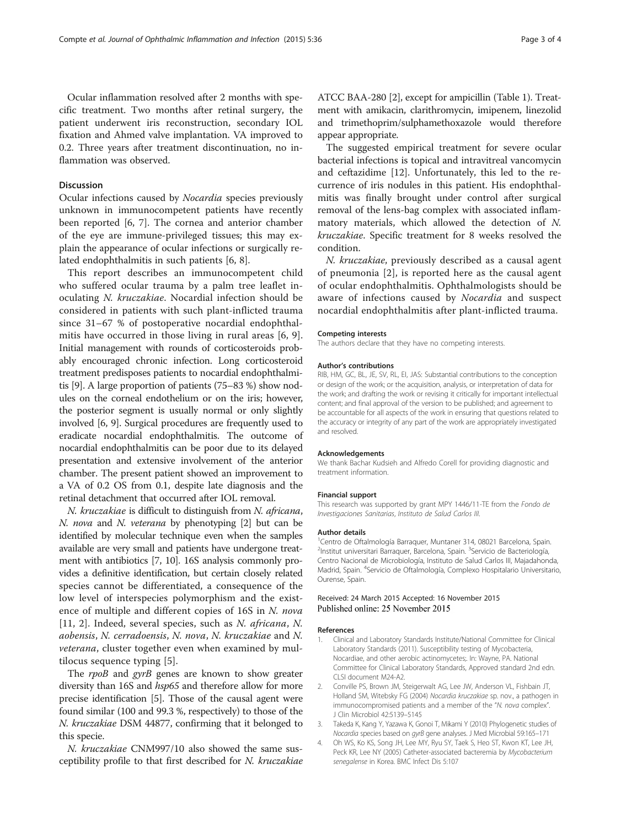<span id="page-2-0"></span>Ocular inflammation resolved after 2 months with specific treatment. Two months after retinal surgery, the patient underwent iris reconstruction, secondary IOL fixation and Ahmed valve implantation. VA improved to 0.2. Three years after treatment discontinuation, no inflammation was observed.

### Discussion

Ocular infections caused by Nocardia species previously unknown in immunocompetent patients have recently been reported [\[6](#page-3-0), [7](#page-3-0)]. The cornea and anterior chamber of the eye are immune-privileged tissues; this may explain the appearance of ocular infections or surgically related endophthalmitis in such patients [[6, 8\]](#page-3-0).

This report describes an immunocompetent child who suffered ocular trauma by a palm tree leaflet inoculating N. kruczakiae. Nocardial infection should be considered in patients with such plant-inflicted trauma since 31–67 % of postoperative nocardial endophthalmitis have occurred in those living in rural areas [[6, 9](#page-3-0)]. Initial management with rounds of corticosteroids probably encouraged chronic infection. Long corticosteroid treatment predisposes patients to nocardial endophthalmitis [[9](#page-3-0)]. A large proportion of patients (75–83 %) show nodules on the corneal endothelium or on the iris; however, the posterior segment is usually normal or only slightly involved [\[6](#page-3-0), [9](#page-3-0)]. Surgical procedures are frequently used to eradicate nocardial endophthalmitis. The outcome of nocardial endophthalmitis can be poor due to its delayed presentation and extensive involvement of the anterior chamber. The present patient showed an improvement to a VA of 0.2 OS from 0.1, despite late diagnosis and the retinal detachment that occurred after IOL removal.

N. kruczakiae is difficult to distinguish from N. africana, N. nova and N. veterana by phenotyping [2] but can be identified by molecular technique even when the samples available are very small and patients have undergone treatment with antibiotics [\[7](#page-3-0), [10](#page-3-0)]. 16S analysis commonly provides a definitive identification, but certain closely related species cannot be differentiated, a consequence of the low level of interspecies polymorphism and the existence of multiple and different copies of 16S in N. nova [[11,](#page-3-0) 2]. Indeed, several species, such as *N. africana*, *N.* aobensis, N. cerradoensis, N. nova, N. kruczakiae and N. veterana, cluster together even when examined by multilocus sequence typing [\[5](#page-3-0)].

The rpoB and gyrB genes are known to show greater diversity than 16S and hsp65 and therefore allow for more precise identification [[5\]](#page-3-0). Those of the causal agent were found similar (100 and 99.3 %, respectively) to those of the N. kruczakiae DSM 44877, confirming that it belonged to this specie.

N. kruczakiae CNM997/10 also showed the same susceptibility profile to that first described for N. kruczakiae

ATCC BAA-280 [2], except for ampicillin (Table [1\)](#page-1-0). Treatment with amikacin, clarithromycin, imipenem, linezolid and trimethoprim/sulphamethoxazole would therefore appear appropriate.

The suggested empirical treatment for severe ocular bacterial infections is topical and intravitreal vancomycin and ceftazidime [\[12\]](#page-3-0). Unfortunately, this led to the recurrence of iris nodules in this patient. His endophthalmitis was finally brought under control after surgical removal of the lens-bag complex with associated inflammatory materials, which allowed the detection of N. kruczakiae. Specific treatment for 8 weeks resolved the condition.

N. kruczakiae, previously described as a causal agent of pneumonia [2], is reported here as the causal agent of ocular endophthalmitis. Ophthalmologists should be aware of infections caused by Nocardia and suspect nocardial endophthalmitis after plant-inflicted trauma.

#### Competing interests

The authors declare that they have no competing interests.

#### Author's contributions

RIB, HM, GC, BL, JE, SV, RL, EI, JAS: Substantial contributions to the conception or design of the work; or the acquisition, analysis, or interpretation of data for the work; and drafting the work or revising it critically for important intellectual content; and final approval of the version to be published; and agreement to be accountable for all aspects of the work in ensuring that questions related to the accuracy or integrity of any part of the work are appropriately investigated and resolved.

#### Acknowledgements

We thank Bachar Kudsieh and Alfredo Corell for providing diagnostic and treatment information.

#### Financial support

This research was supported by grant MPY 1446/11-TE from the Fondo de Investigaciones Sanitarias, Instituto de Salud Carlos III.

#### Author details

<sup>1</sup> Centro de Oftalmología Barraquer, Muntaner 314, 08021 Barcelona, Spain <sup>2</sup>Institut universitari Barraquer, Barcelona, Spain. <sup>3</sup>Servicio de Bacteriología, Centro Nacional de Microbiología, Instituto de Salud Carlos III, Majadahonda, Madrid, Spain. <sup>4</sup>Servicio de Oftalmología, Complexo Hospitalario Universitario Ourense, Spain.

#### Received: 24 March 2015 Accepted: 16 November 2015 Published online: 25 November 2015

#### References

- 1. Clinical and Laboratory Standards Institute/National Committee for Clinical Laboratory Standards (2011). Susceptibility testing of Mycobacteria, Nocardiae, and other aerobic actinomycetes;. In: Wayne, PA. National Committee for Clinical Laboratory Standards, Approved standard 2nd edn. CLSI document M24-A2.
- 2. Conville PS, Brown JM, Steigerwalt AG, Lee JW, Anderson VL, Fishbain JT, Holland SM, Witebsky FG (2004) Nocardia kruczakiae sp. nov., a pathogen in immunocompromised patients and a member of the "N. nova complex". J Clin Microbiol 42:5139–5145
- 3. Takeda K, Kang Y, Yazawa K, Gonoi T, Mikami Y (2010) Phylogenetic studies of Nocardia species based on gyrB gene analyses. J Med Microbial 59:165–171
- 4. Oh WS, Ko KS, Song JH, Lee MY, Ryu SY, Taek S, Heo ST, Kwon KT, Lee JH, Peck KR, Lee NY (2005) Catheter-associated bacteremia by Mycobacterium senegalense in Korea. BMC Infect Dis 5:107